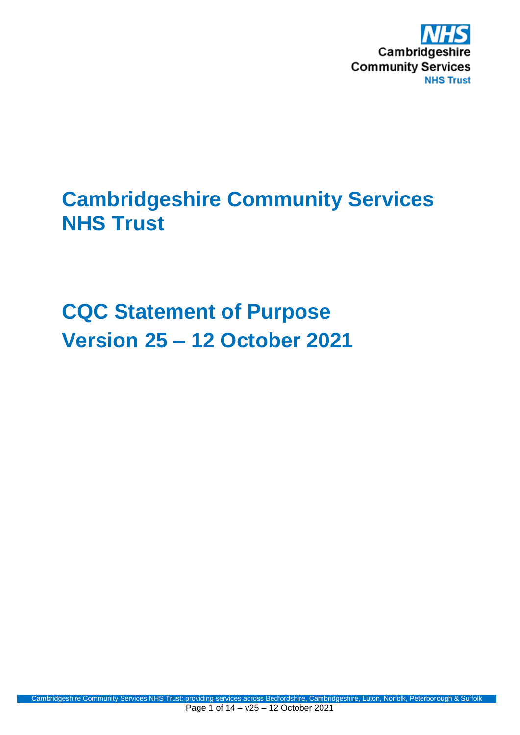

# **Cambridgeshire Community Services NHS Trust**

**CQC Statement of Purpose Version 25 – 12 October 2021**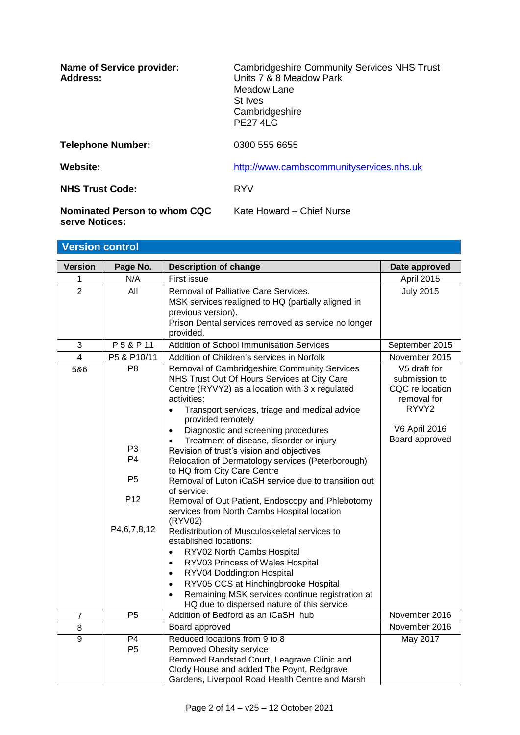| <b>Name of Service provider:</b><br>Address:   | <b>Cambridgeshire Community Services NHS Trust</b><br>Units 7 & 8 Meadow Park<br>Meadow Lane<br>St Ives<br>Cambridgeshire<br><b>PE27 4LG</b> |
|------------------------------------------------|----------------------------------------------------------------------------------------------------------------------------------------------|
| <b>Telephone Number:</b>                       | 0300 555 6655                                                                                                                                |
| Website:                                       | http://www.cambscommunityservices.nhs.uk                                                                                                     |
| <b>NHS Trust Code:</b>                         | <b>RYV</b>                                                                                                                                   |
| Nominated Person to whom CQC<br>serve Notices: | Kate Howard - Chief Nurse                                                                                                                    |

| Date approved                  |
|--------------------------------|
|                                |
| April 2015                     |
| <b>July 2015</b>               |
|                                |
|                                |
|                                |
| September 2015                 |
| November 2015                  |
| V5 draft for                   |
| submission to                  |
| CQC re location<br>removal for |
|                                |
|                                |
| <b>V6 April 2016</b>           |
| Board approved                 |
|                                |
|                                |
|                                |
|                                |
|                                |
|                                |
|                                |
|                                |
|                                |
|                                |
|                                |
|                                |
|                                |
|                                |
| November 2016                  |
| November 2016                  |
| May 2017                       |
|                                |
|                                |
|                                |
| RYVY <sub>2</sub>              |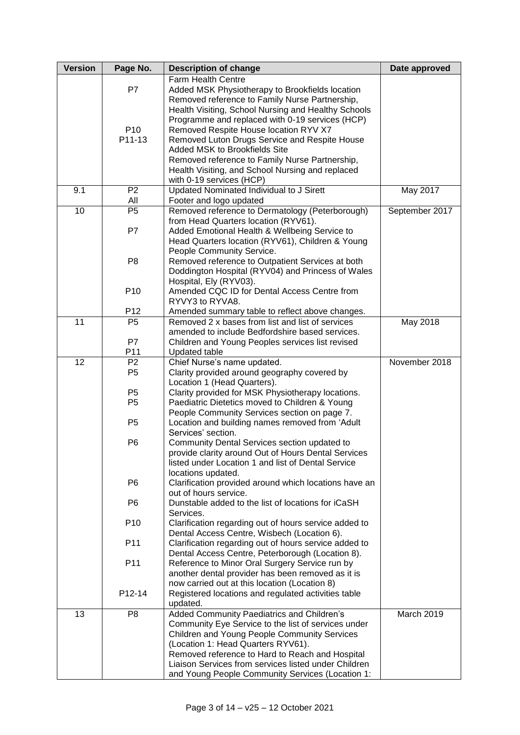| <b>Version</b> | Page No.                          | <b>Description of change</b>                                                                              | Date approved  |
|----------------|-----------------------------------|-----------------------------------------------------------------------------------------------------------|----------------|
|                |                                   | Farm Health Centre                                                                                        |                |
|                | P7                                | Added MSK Physiotherapy to Brookfields location                                                           |                |
|                |                                   | Removed reference to Family Nurse Partnership,                                                            |                |
|                |                                   | Health Visiting, School Nursing and Healthy Schools                                                       |                |
|                |                                   | Programme and replaced with 0-19 services (HCP)                                                           |                |
|                | P <sub>10</sub>                   | Removed Respite House location RYV X7                                                                     |                |
|                | P11-13                            | Removed Luton Drugs Service and Respite House                                                             |                |
|                |                                   | Added MSK to Brookfields Site                                                                             |                |
|                |                                   | Removed reference to Family Nurse Partnership,                                                            |                |
|                |                                   | Health Visiting, and School Nursing and replaced                                                          |                |
|                |                                   | with 0-19 services (HCP)                                                                                  |                |
| 9.1            | P <sub>2</sub>                    | Updated Nominated Individual to J Sirett                                                                  | May 2017       |
|                | All                               | Footer and logo updated                                                                                   |                |
| 10             | P <sub>5</sub>                    | Removed reference to Dermatology (Peterborough)                                                           | September 2017 |
|                |                                   | from Head Quarters location (RYV61).                                                                      |                |
|                | P7                                | Added Emotional Health & Wellbeing Service to                                                             |                |
|                |                                   | Head Quarters location (RYV61), Children & Young                                                          |                |
|                |                                   | People Community Service.                                                                                 |                |
|                | P <sub>8</sub>                    | Removed reference to Outpatient Services at both                                                          |                |
|                |                                   | Doddington Hospital (RYV04) and Princess of Wales                                                         |                |
|                |                                   | Hospital, Ely (RYV03).                                                                                    |                |
|                | P <sub>10</sub>                   | Amended CQC ID for Dental Access Centre from                                                              |                |
|                |                                   | RYVY3 to RYVA8.                                                                                           |                |
| 11             | P <sub>12</sub><br>P <sub>5</sub> | Amended summary table to reflect above changes.<br>Removed 2 x bases from list and list of services       | May 2018       |
|                |                                   | amended to include Bedfordshire based services.                                                           |                |
|                | P7                                | Children and Young Peoples services list revised                                                          |                |
|                | P11                               | <b>Updated table</b>                                                                                      |                |
| 12             | P <sub>2</sub>                    | Chief Nurse's name updated.                                                                               | November 2018  |
|                | P <sub>5</sub>                    | Clarity provided around geography covered by                                                              |                |
|                |                                   | Location 1 (Head Quarters).                                                                               |                |
|                | P <sub>5</sub>                    | Clarity provided for MSK Physiotherapy locations.                                                         |                |
|                | P <sub>5</sub>                    | Paediatric Dietetics moved to Children & Young                                                            |                |
|                |                                   | People Community Services section on page 7.                                                              |                |
|                | P5                                | Location and building names removed from 'Adult                                                           |                |
|                |                                   | Services' section.                                                                                        |                |
|                | P <sub>6</sub>                    | Community Dental Services section updated to                                                              |                |
|                |                                   | provide clarity around Out of Hours Dental Services                                                       |                |
|                |                                   | listed under Location 1 and list of Dental Service                                                        |                |
|                |                                   | locations updated.                                                                                        |                |
|                | P <sub>6</sub>                    | Clarification provided around which locations have an                                                     |                |
|                |                                   | out of hours service.                                                                                     |                |
|                | P <sub>6</sub>                    | Dunstable added to the list of locations for iCaSH                                                        |                |
|                |                                   | Services.                                                                                                 |                |
|                | P <sub>10</sub>                   | Clarification regarding out of hours service added to                                                     |                |
|                | P11                               | Dental Access Centre, Wisbech (Location 6).                                                               |                |
|                |                                   | Clarification regarding out of hours service added to<br>Dental Access Centre, Peterborough (Location 8). |                |
|                | P11                               | Reference to Minor Oral Surgery Service run by                                                            |                |
|                |                                   | another dental provider has been removed as it is                                                         |                |
|                |                                   | now carried out at this location (Location 8)                                                             |                |
|                | P12-14                            | Registered locations and regulated activities table                                                       |                |
|                |                                   | updated.                                                                                                  |                |
| 13             | P <sub>8</sub>                    | Added Community Paediatrics and Children's                                                                | March 2019     |
|                |                                   | Community Eye Service to the list of services under                                                       |                |
|                |                                   | Children and Young People Community Services                                                              |                |
|                |                                   | (Location 1: Head Quarters RYV61).                                                                        |                |
|                |                                   | Removed reference to Hard to Reach and Hospital                                                           |                |
|                |                                   | Liaison Services from services listed under Children                                                      |                |
|                |                                   | and Young People Community Services (Location 1:                                                          |                |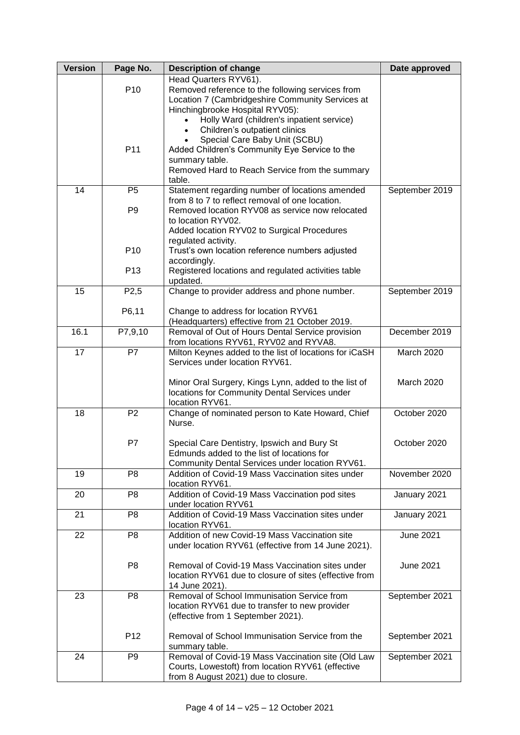| <b>Version</b> | Page No.          | <b>Description of change</b>                                    | Date approved    |
|----------------|-------------------|-----------------------------------------------------------------|------------------|
|                |                   | Head Quarters RYV61).                                           |                  |
|                | P <sub>10</sub>   | Removed reference to the following services from                |                  |
|                |                   | Location 7 (Cambridgeshire Community Services at                |                  |
|                |                   | Hinchingbrooke Hospital RYV05):                                 |                  |
|                |                   | Holly Ward (children's inpatient service)                       |                  |
|                |                   | Children's outpatient clinics                                   |                  |
|                | P11               | Special Care Baby Unit (SCBU)                                   |                  |
|                |                   | Added Children's Community Eye Service to the<br>summary table. |                  |
|                |                   | Removed Hard to Reach Service from the summary                  |                  |
|                |                   | table.                                                          |                  |
| 14             | P <sub>5</sub>    | Statement regarding number of locations amended                 | September 2019   |
|                |                   | from 8 to 7 to reflect removal of one location.                 |                  |
|                | P <sub>9</sub>    | Removed location RYV08 as service now relocated                 |                  |
|                |                   | to location RYV02.                                              |                  |
|                |                   | Added location RYV02 to Surgical Procedures                     |                  |
|                |                   | regulated activity.                                             |                  |
|                | P <sub>10</sub>   | Trust's own location reference numbers adjusted                 |                  |
|                |                   | accordingly.                                                    |                  |
|                | P <sub>13</sub>   | Registered locations and regulated activities table             |                  |
|                |                   | updated.                                                        |                  |
| 15             | P <sub>2</sub> ,5 | Change to provider address and phone number.                    | September 2019   |
|                | P6,11             | Change to address for location RYV61                            |                  |
|                |                   | (Headquarters) effective from 21 October 2019.                  |                  |
| 16.1           | P7,9,10           | Removal of Out of Hours Dental Service provision                | December 2019    |
|                |                   | from locations RYV61, RYV02 and RYVA8.                          |                  |
| 17             | $\overline{P}$    | Milton Keynes added to the list of locations for iCaSH          | March 2020       |
|                |                   | Services under location RYV61.                                  |                  |
|                |                   |                                                                 |                  |
|                |                   | Minor Oral Surgery, Kings Lynn, added to the list of            | March 2020       |
|                |                   | locations for Community Dental Services under                   |                  |
|                |                   | location RYV61.                                                 |                  |
| 18             | P <sub>2</sub>    | Change of nominated person to Kate Howard, Chief                | October 2020     |
|                |                   | Nurse.                                                          |                  |
|                | P7                | Special Care Dentistry, Ipswich and Bury St                     | October 2020     |
|                |                   | Edmunds added to the list of locations for                      |                  |
|                |                   | Community Dental Services under location RYV61.                 |                  |
| 19             | P <sub>8</sub>    | Addition of Covid-19 Mass Vaccination sites under               | November 2020    |
|                |                   | location RYV61.                                                 |                  |
| 20             | P <sub>8</sub>    | Addition of Covid-19 Mass Vaccination pod sites                 | January 2021     |
|                |                   | under location RYV61                                            |                  |
| 21             | P <sub>8</sub>    | Addition of Covid-19 Mass Vaccination sites under               | January 2021     |
|                |                   | location RYV61.                                                 |                  |
| 22             | P <sub>8</sub>    | Addition of new Covid-19 Mass Vaccination site                  | <b>June 2021</b> |
|                |                   | under location RYV61 (effective from 14 June 2021).             |                  |
|                | P <sub>8</sub>    | Removal of Covid-19 Mass Vaccination sites under                | <b>June 2021</b> |
|                |                   | location RYV61 due to closure of sites (effective from          |                  |
|                |                   | 14 June 2021).                                                  |                  |
| 23             | P <sub>8</sub>    | Removal of School Immunisation Service from                     | September 2021   |
|                |                   | location RYV61 due to transfer to new provider                  |                  |
|                |                   | (effective from 1 September 2021).                              |                  |
|                |                   |                                                                 |                  |
|                | P <sub>12</sub>   | Removal of School Immunisation Service from the                 | September 2021   |
|                |                   | summary table.                                                  |                  |
| 24             | P <sub>9</sub>    | Removal of Covid-19 Mass Vaccination site (Old Law              | September 2021   |
|                |                   | Courts, Lowestoft) from location RYV61 (effective               |                  |
|                |                   | from 8 August 2021) due to closure.                             |                  |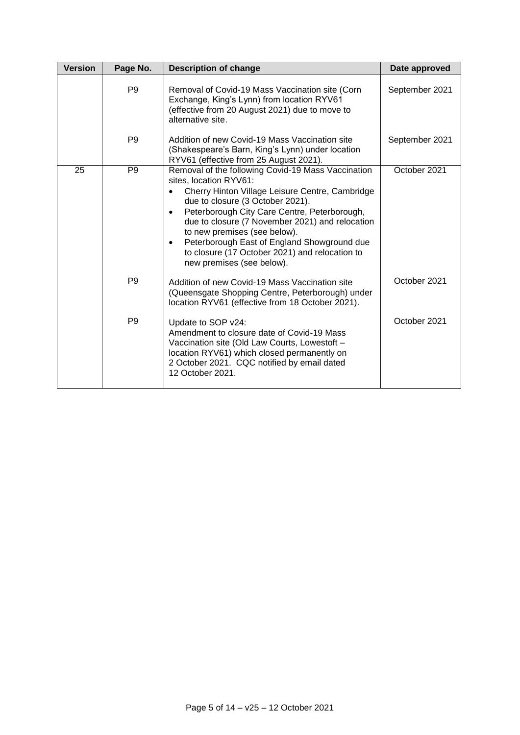| <b>Version</b> | Page No.       | <b>Description of change</b>                                                                                                                                                                                                                                                                                                                                                                                                                                   | Date approved  |
|----------------|----------------|----------------------------------------------------------------------------------------------------------------------------------------------------------------------------------------------------------------------------------------------------------------------------------------------------------------------------------------------------------------------------------------------------------------------------------------------------------------|----------------|
|                | P <sub>9</sub> | Removal of Covid-19 Mass Vaccination site (Corn<br>Exchange, King's Lynn) from location RYV61<br>(effective from 20 August 2021) due to move to<br>alternative site.                                                                                                                                                                                                                                                                                           | September 2021 |
|                | P <sub>9</sub> | Addition of new Covid-19 Mass Vaccination site<br>(Shakespeare's Barn, King's Lynn) under location<br>RYV61 (effective from 25 August 2021).                                                                                                                                                                                                                                                                                                                   | September 2021 |
| 25             | P <sub>9</sub> | Removal of the following Covid-19 Mass Vaccination<br>sites, location RYV61:<br>Cherry Hinton Village Leisure Centre, Cambridge<br>due to closure (3 October 2021).<br>Peterborough City Care Centre, Peterborough,<br>$\bullet$<br>due to closure (7 November 2021) and relocation<br>to new premises (see below).<br>Peterborough East of England Showground due<br>$\bullet$<br>to closure (17 October 2021) and relocation to<br>new premises (see below). | October 2021   |
|                | P <sub>9</sub> | Addition of new Covid-19 Mass Vaccination site<br>(Queensgate Shopping Centre, Peterborough) under<br>location RYV61 (effective from 18 October 2021).                                                                                                                                                                                                                                                                                                         | October 2021   |
|                | P <sub>9</sub> | Update to SOP v24:<br>Amendment to closure date of Covid-19 Mass<br>Vaccination site (Old Law Courts, Lowestoft -<br>location RYV61) which closed permanently on<br>2 October 2021. CQC notified by email dated<br>12 October 2021.                                                                                                                                                                                                                            | October 2021   |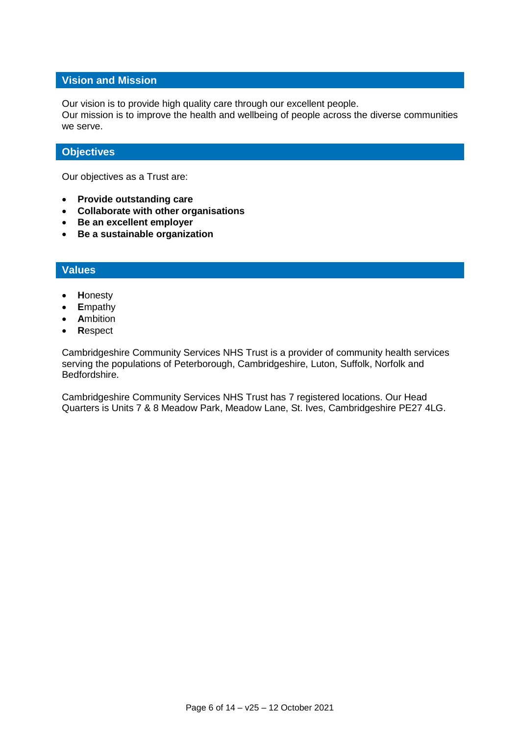#### **Vision and Mission**

Our vision is to provide high quality care through our excellent people.

Our mission is to improve the health and wellbeing of people across the diverse communities we serve.

### **Objectives**

Our objectives as a Trust are:

- **Provide outstanding care**
- **Collaborate with other organisations**
- **Be an excellent employer**
- **Be a sustainable organization**

### **Values**

- **H**onesty
- **E**mpathy
- **A**mbition
- **R**espect

Cambridgeshire Community Services NHS Trust is a provider of community health services serving the populations of Peterborough, Cambridgeshire, Luton, Suffolk, Norfolk and Bedfordshire.

Cambridgeshire Community Services NHS Trust has 7 registered locations. Our Head Quarters is Units 7 & 8 Meadow Park, Meadow Lane, St. Ives, Cambridgeshire PE27 4LG.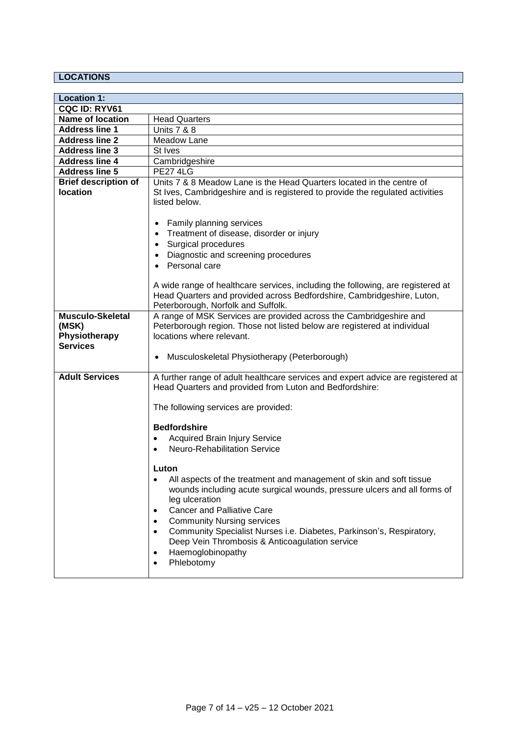## **LOCATIONS**

| <b>Location 1:</b>                                                   |                                                                                                                                                                                                                                                                                                                                                                                                                                                                                                 |
|----------------------------------------------------------------------|-------------------------------------------------------------------------------------------------------------------------------------------------------------------------------------------------------------------------------------------------------------------------------------------------------------------------------------------------------------------------------------------------------------------------------------------------------------------------------------------------|
| CQC ID: RYV61                                                        |                                                                                                                                                                                                                                                                                                                                                                                                                                                                                                 |
| <b>Name of location</b>                                              | <b>Head Quarters</b>                                                                                                                                                                                                                                                                                                                                                                                                                                                                            |
| <b>Address line 1</b>                                                | <b>Units 7 &amp; 8</b>                                                                                                                                                                                                                                                                                                                                                                                                                                                                          |
| <b>Address line 2</b>                                                | Meadow Lane                                                                                                                                                                                                                                                                                                                                                                                                                                                                                     |
| <b>Address line 3</b>                                                | St Ives                                                                                                                                                                                                                                                                                                                                                                                                                                                                                         |
| <b>Address line 4</b>                                                | Cambridgeshire                                                                                                                                                                                                                                                                                                                                                                                                                                                                                  |
| <b>Address line 5</b>                                                | <b>PE27 4LG</b>                                                                                                                                                                                                                                                                                                                                                                                                                                                                                 |
| <b>Brief description of</b><br><b>location</b>                       | Units 7 & 8 Meadow Lane is the Head Quarters located in the centre of<br>St Ives, Cambridgeshire and is registered to provide the regulated activities<br>listed below.                                                                                                                                                                                                                                                                                                                         |
|                                                                      | <b>Family planning services</b><br>Treatment of disease, disorder or injury<br>Surgical procedures<br>Diagnostic and screening procedures<br>Personal care                                                                                                                                                                                                                                                                                                                                      |
|                                                                      | A wide range of healthcare services, including the following, are registered at<br>Head Quarters and provided across Bedfordshire, Cambridgeshire, Luton,<br>Peterborough, Norfolk and Suffolk.                                                                                                                                                                                                                                                                                                 |
| <b>Musculo-Skeletal</b><br>(MSK)<br>Physiotherapy<br><b>Services</b> | A range of MSK Services are provided across the Cambridgeshire and<br>Peterborough region. Those not listed below are registered at individual<br>locations where relevant.<br>Musculoskeletal Physiotherapy (Peterborough)                                                                                                                                                                                                                                                                     |
| <b>Adult Services</b>                                                | A further range of adult healthcare services and expert advice are registered at<br>Head Quarters and provided from Luton and Bedfordshire:                                                                                                                                                                                                                                                                                                                                                     |
|                                                                      | The following services are provided:                                                                                                                                                                                                                                                                                                                                                                                                                                                            |
|                                                                      | <b>Bedfordshire</b><br><b>Acquired Brain Injury Service</b><br>$\bullet$<br><b>Neuro-Rehabilitation Service</b><br>$\bullet$                                                                                                                                                                                                                                                                                                                                                                    |
|                                                                      | Luton<br>All aspects of the treatment and management of skin and soft tissue<br>$\bullet$<br>wounds including acute surgical wounds, pressure ulcers and all forms of<br>leg ulceration<br><b>Cancer and Palliative Care</b><br>$\bullet$<br><b>Community Nursing services</b><br>$\bullet$<br>Community Specialist Nurses i.e. Diabetes, Parkinson's, Respiratory,<br>$\bullet$<br>Deep Vein Thrombosis & Anticoagulation service<br>Haemoglobinopathy<br>$\bullet$<br>Phlebotomy<br>$\bullet$ |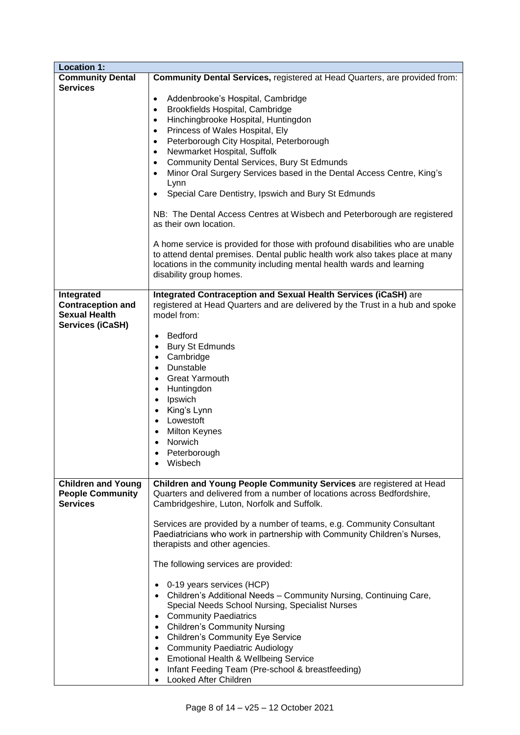| <b>Location 1:</b>                                                                        |                                                                                                                                                                                                                                                                                                                                                                                                                                                                                                                                                                                                                                                                                                                                                                                                                                                                                                                                                                                     |
|-------------------------------------------------------------------------------------------|-------------------------------------------------------------------------------------------------------------------------------------------------------------------------------------------------------------------------------------------------------------------------------------------------------------------------------------------------------------------------------------------------------------------------------------------------------------------------------------------------------------------------------------------------------------------------------------------------------------------------------------------------------------------------------------------------------------------------------------------------------------------------------------------------------------------------------------------------------------------------------------------------------------------------------------------------------------------------------------|
| <b>Community Dental</b><br><b>Services</b>                                                | Community Dental Services, registered at Head Quarters, are provided from:                                                                                                                                                                                                                                                                                                                                                                                                                                                                                                                                                                                                                                                                                                                                                                                                                                                                                                          |
|                                                                                           | Addenbrooke's Hospital, Cambridge<br>$\bullet$<br>Brookfields Hospital, Cambridge<br>٠<br>Hinchingbrooke Hospital, Huntingdon<br>$\bullet$<br>Princess of Wales Hospital, Ely<br>$\bullet$<br>Peterborough City Hospital, Peterborough<br>$\bullet$<br>Newmarket Hospital, Suffolk<br>$\bullet$<br><b>Community Dental Services, Bury St Edmunds</b><br>$\bullet$<br>Minor Oral Surgery Services based in the Dental Access Centre, King's<br>$\bullet$<br>Lynn<br>Special Care Dentistry, Ipswich and Bury St Edmunds<br>$\bullet$<br>NB: The Dental Access Centres at Wisbech and Peterborough are registered<br>as their own location.<br>A home service is provided for those with profound disabilities who are unable<br>to attend dental premises. Dental public health work also takes place at many                                                                                                                                                                        |
|                                                                                           | locations in the community including mental health wards and learning<br>disability group homes.                                                                                                                                                                                                                                                                                                                                                                                                                                                                                                                                                                                                                                                                                                                                                                                                                                                                                    |
| Integrated<br><b>Contraception and</b><br><b>Sexual Health</b><br><b>Services (iCaSH)</b> | Integrated Contraception and Sexual Health Services (iCaSH) are<br>registered at Head Quarters and are delivered by the Trust in a hub and spoke<br>model from:<br><b>Bedford</b><br>$\bullet$<br><b>Bury St Edmunds</b><br>$\bullet$<br>Cambridge<br>$\bullet$<br>Dunstable<br>$\bullet$<br><b>Great Yarmouth</b><br>$\bullet$<br>Huntingdon<br>$\bullet$<br>Ipswich<br>$\bullet$<br>King's Lynn<br>$\bullet$<br>Lowestoft<br>$\bullet$<br><b>Milton Keynes</b><br>Norwich<br>$\bullet$<br>Peterborough<br>Wisbech                                                                                                                                                                                                                                                                                                                                                                                                                                                                 |
| <b>Children and Young</b><br><b>People Community</b><br><b>Services</b>                   | Children and Young People Community Services are registered at Head<br>Quarters and delivered from a number of locations across Bedfordshire,<br>Cambridgeshire, Luton, Norfolk and Suffolk.<br>Services are provided by a number of teams, e.g. Community Consultant<br>Paediatricians who work in partnership with Community Children's Nurses,<br>therapists and other agencies.<br>The following services are provided:<br>0-19 years services (HCP)<br>$\bullet$<br>Children's Additional Needs - Community Nursing, Continuing Care,<br>Special Needs School Nursing, Specialist Nurses<br><b>Community Paediatrics</b><br>$\bullet$<br><b>Children's Community Nursing</b><br>$\bullet$<br><b>Children's Community Eye Service</b><br>$\bullet$<br><b>Community Paediatric Audiology</b><br>$\bullet$<br><b>Emotional Health &amp; Wellbeing Service</b><br>$\bullet$<br>Infant Feeding Team (Pre-school & breastfeeding)<br>$\bullet$<br>Looked After Children<br>$\bullet$ |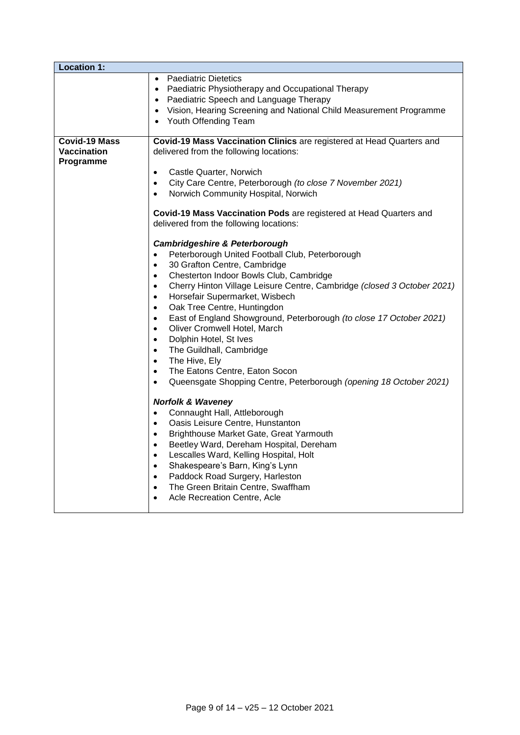| <b>Location 1:</b>              |                                                                                                                                                                                                                                                                                                                                                                                                                                                                                                                                                                                                                                                                                                                                                                                                                                                                                                                                                                                                                                                                                                                                                                                                                                                                                                                                                                                                                                                                                                                                                                                                             |
|---------------------------------|-------------------------------------------------------------------------------------------------------------------------------------------------------------------------------------------------------------------------------------------------------------------------------------------------------------------------------------------------------------------------------------------------------------------------------------------------------------------------------------------------------------------------------------------------------------------------------------------------------------------------------------------------------------------------------------------------------------------------------------------------------------------------------------------------------------------------------------------------------------------------------------------------------------------------------------------------------------------------------------------------------------------------------------------------------------------------------------------------------------------------------------------------------------------------------------------------------------------------------------------------------------------------------------------------------------------------------------------------------------------------------------------------------------------------------------------------------------------------------------------------------------------------------------------------------------------------------------------------------------|
| <b>Covid-19 Mass</b>            | • Paediatric Dietetics<br>• Paediatric Physiotherapy and Occupational Therapy<br>• Paediatric Speech and Language Therapy<br>Vision, Hearing Screening and National Child Measurement Programme<br>Youth Offending Team<br>Covid-19 Mass Vaccination Clinics are registered at Head Quarters and                                                                                                                                                                                                                                                                                                                                                                                                                                                                                                                                                                                                                                                                                                                                                                                                                                                                                                                                                                                                                                                                                                                                                                                                                                                                                                            |
| <b>Vaccination</b><br>Programme | delivered from the following locations:<br>Castle Quarter, Norwich<br>$\bullet$<br>City Care Centre, Peterborough (to close 7 November 2021)<br>$\bullet$<br>Norwich Community Hospital, Norwich<br>$\bullet$<br>Covid-19 Mass Vaccination Pods are registered at Head Quarters and<br>delivered from the following locations:<br><b>Cambridgeshire &amp; Peterborough</b><br>Peterborough United Football Club, Peterborough<br>$\bullet$<br>30 Grafton Centre, Cambridge<br>$\bullet$<br>Chesterton Indoor Bowls Club, Cambridge<br>$\bullet$<br>Cherry Hinton Village Leisure Centre, Cambridge (closed 3 October 2021)<br>$\bullet$<br>Horsefair Supermarket, Wisbech<br>$\bullet$<br>Oak Tree Centre, Huntingdon<br>$\bullet$<br>East of England Showground, Peterborough (to close 17 October 2021)<br>$\bullet$<br>Oliver Cromwell Hotel, March<br>$\bullet$<br>Dolphin Hotel, St Ives<br>$\bullet$<br>The Guildhall, Cambridge<br>$\bullet$<br>The Hive, Ely<br>$\bullet$<br>The Eatons Centre, Eaton Socon<br>$\bullet$<br>Queensgate Shopping Centre, Peterborough (opening 18 October 2021)<br>$\bullet$<br><b>Norfolk &amp; Waveney</b><br>Connaught Hall, Attleborough<br>$\bullet$<br>Oasis Leisure Centre, Hunstanton<br>$\bullet$<br>Brighthouse Market Gate, Great Yarmouth<br>$\bullet$<br>Beetley Ward, Dereham Hospital, Dereham<br>$\bullet$<br>Lescalles Ward, Kelling Hospital, Holt<br>$\bullet$<br>Shakespeare's Barn, King's Lynn<br>$\bullet$<br>Paddock Road Surgery, Harleston<br>$\bullet$<br>The Green Britain Centre, Swaffham<br>$\bullet$<br>Acle Recreation Centre, Acle |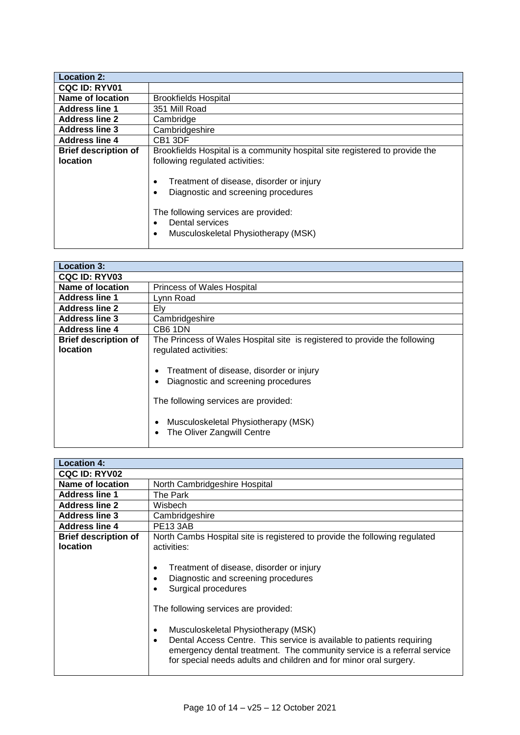| <b>Location 2:</b>          |                                                                                                                                                                                   |
|-----------------------------|-----------------------------------------------------------------------------------------------------------------------------------------------------------------------------------|
| <b>CQC ID: RYV01</b>        |                                                                                                                                                                                   |
| Name of location            | <b>Brookfields Hospital</b>                                                                                                                                                       |
| <b>Address line 1</b>       | 351 Mill Road                                                                                                                                                                     |
| <b>Address line 2</b>       | Cambridge                                                                                                                                                                         |
| <b>Address line 3</b>       | Cambridgeshire                                                                                                                                                                    |
| <b>Address line 4</b>       | CB <sub>1</sub> 3DF                                                                                                                                                               |
| <b>Brief description of</b> | Brookfields Hospital is a community hospital site registered to provide the                                                                                                       |
| <b>location</b>             | following regulated activities:                                                                                                                                                   |
|                             | Treatment of disease, disorder or injury<br>Diagnostic and screening procedures<br>The following services are provided:<br>Dental services<br>Musculoskeletal Physiotherapy (MSK) |

| <b>Location 3:</b>          |                                                                                                                                                                                              |
|-----------------------------|----------------------------------------------------------------------------------------------------------------------------------------------------------------------------------------------|
|                             |                                                                                                                                                                                              |
| <b>CQC ID: RYV03</b>        |                                                                                                                                                                                              |
| Name of location            | <b>Princess of Wales Hospital</b>                                                                                                                                                            |
| <b>Address line 1</b>       | Lynn Road                                                                                                                                                                                    |
| <b>Address line 2</b>       | Ely                                                                                                                                                                                          |
| <b>Address line 3</b>       | Cambridgeshire                                                                                                                                                                               |
| <b>Address line 4</b>       | CB6 1DN                                                                                                                                                                                      |
| <b>Brief description of</b> | The Princess of Wales Hospital site is registered to provide the following                                                                                                                   |
| <b>location</b>             | regulated activities:                                                                                                                                                                        |
|                             | Treatment of disease, disorder or injury<br>Diagnostic and screening procedures<br>The following services are provided:<br>Musculoskeletal Physiotherapy (MSK)<br>The Oliver Zangwill Centre |

| <b>Location 4:</b>                             |                                                                                                                                                                                                                                                                                                                                                                                                                                                                                                                                                 |
|------------------------------------------------|-------------------------------------------------------------------------------------------------------------------------------------------------------------------------------------------------------------------------------------------------------------------------------------------------------------------------------------------------------------------------------------------------------------------------------------------------------------------------------------------------------------------------------------------------|
| <b>CQC ID: RYV02</b>                           |                                                                                                                                                                                                                                                                                                                                                                                                                                                                                                                                                 |
| Name of location                               | North Cambridgeshire Hospital                                                                                                                                                                                                                                                                                                                                                                                                                                                                                                                   |
| <b>Address line 1</b>                          | The Park                                                                                                                                                                                                                                                                                                                                                                                                                                                                                                                                        |
| <b>Address line 2</b>                          | Wisbech                                                                                                                                                                                                                                                                                                                                                                                                                                                                                                                                         |
| <b>Address line 3</b>                          | Cambridgeshire                                                                                                                                                                                                                                                                                                                                                                                                                                                                                                                                  |
| <b>Address line 4</b>                          | <b>PE13 3AB</b>                                                                                                                                                                                                                                                                                                                                                                                                                                                                                                                                 |
| <b>Brief description of</b><br><b>location</b> | North Cambs Hospital site is registered to provide the following regulated<br>activities:<br>Treatment of disease, disorder or injury<br>$\bullet$<br>Diagnostic and screening procedures<br>٠<br>Surgical procedures<br>The following services are provided:<br>Musculoskeletal Physiotherapy (MSK)<br>٠<br>Dental Access Centre. This service is available to patients requiring<br>$\bullet$<br>emergency dental treatment. The community service is a referral service<br>for special needs adults and children and for minor oral surgery. |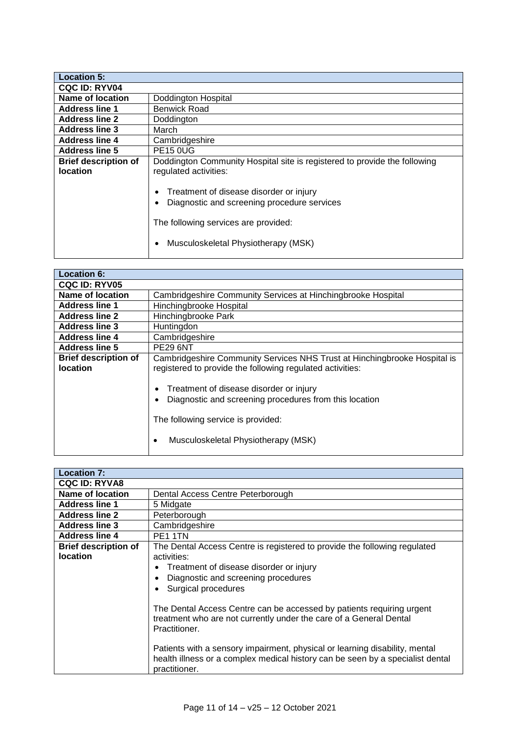| <b>Location 5:</b>                             |                                                                                                                                                                                                                                                                             |
|------------------------------------------------|-----------------------------------------------------------------------------------------------------------------------------------------------------------------------------------------------------------------------------------------------------------------------------|
| <b>CQC ID: RYV04</b>                           |                                                                                                                                                                                                                                                                             |
| Name of location                               | Doddington Hospital                                                                                                                                                                                                                                                         |
| <b>Address line 1</b>                          | Benwick Road                                                                                                                                                                                                                                                                |
| <b>Address line 2</b>                          | Doddington                                                                                                                                                                                                                                                                  |
| <b>Address line 3</b>                          | March                                                                                                                                                                                                                                                                       |
| <b>Address line 4</b>                          | Cambridgeshire                                                                                                                                                                                                                                                              |
| <b>Address line 5</b>                          | <b>PE15 0UG</b>                                                                                                                                                                                                                                                             |
| <b>Brief description of</b><br><b>location</b> | Doddington Community Hospital site is registered to provide the following<br>regulated activities:<br>Treatment of disease disorder or injury<br>Diagnostic and screening procedure services<br>The following services are provided:<br>Musculoskeletal Physiotherapy (MSK) |

| <b>Location 6:</b>                             |                                                                                                                                                                                                                                                                                                                               |
|------------------------------------------------|-------------------------------------------------------------------------------------------------------------------------------------------------------------------------------------------------------------------------------------------------------------------------------------------------------------------------------|
| <b>CQC ID: RYV05</b>                           |                                                                                                                                                                                                                                                                                                                               |
| Name of location                               | Cambridgeshire Community Services at Hinchingbrooke Hospital                                                                                                                                                                                                                                                                  |
| <b>Address line 1</b>                          | Hinchingbrooke Hospital                                                                                                                                                                                                                                                                                                       |
| <b>Address line 2</b>                          | Hinchingbrooke Park                                                                                                                                                                                                                                                                                                           |
| <b>Address line 3</b>                          | Huntingdon                                                                                                                                                                                                                                                                                                                    |
| <b>Address line 4</b>                          | Cambridgeshire                                                                                                                                                                                                                                                                                                                |
| <b>Address line 5</b>                          | <b>PE29 6NT</b>                                                                                                                                                                                                                                                                                                               |
| <b>Brief description of</b><br><b>location</b> | Cambridgeshire Community Services NHS Trust at Hinchingbrooke Hospital is<br>registered to provide the following regulated activities:<br>Treatment of disease disorder or injury<br>Diagnostic and screening procedures from this location<br>The following service is provided:<br>Musculoskeletal Physiotherapy (MSK)<br>٠ |

| <b>Location 7:</b>                             |                                                                                                                                                                                                                                                                                                                                                                                                                                                         |
|------------------------------------------------|---------------------------------------------------------------------------------------------------------------------------------------------------------------------------------------------------------------------------------------------------------------------------------------------------------------------------------------------------------------------------------------------------------------------------------------------------------|
| <b>CQC ID: RYVA8</b>                           |                                                                                                                                                                                                                                                                                                                                                                                                                                                         |
| Name of location                               | Dental Access Centre Peterborough                                                                                                                                                                                                                                                                                                                                                                                                                       |
| <b>Address line 1</b>                          | 5 Midgate                                                                                                                                                                                                                                                                                                                                                                                                                                               |
| <b>Address line 2</b>                          | Peterborough                                                                                                                                                                                                                                                                                                                                                                                                                                            |
| <b>Address line 3</b>                          | Cambridgeshire                                                                                                                                                                                                                                                                                                                                                                                                                                          |
| <b>Address line 4</b>                          | PE <sub>1</sub> 1TN                                                                                                                                                                                                                                                                                                                                                                                                                                     |
| <b>Brief description of</b><br><b>location</b> | The Dental Access Centre is registered to provide the following regulated<br>activities:                                                                                                                                                                                                                                                                                                                                                                |
|                                                | Treatment of disease disorder or injury<br>Diagnostic and screening procedures<br>Surgical procedures<br>The Dental Access Centre can be accessed by patients requiring urgent<br>treatment who are not currently under the care of a General Dental<br>Practitioner.<br>Patients with a sensory impairment, physical or learning disability, mental<br>health illness or a complex medical history can be seen by a specialist dental<br>practitioner. |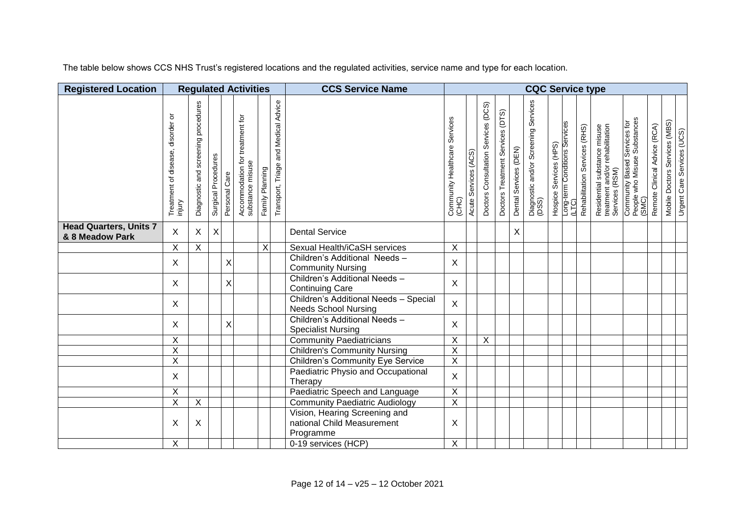The table below shows CCS NHS Trust's registered locations and the regulated activities, service name and type for each location.

| <b>Registered Location</b>                       |                                            |                                           |                     |                | <b>Regulated Activities</b>                         |                         |                                      | <b>CCS Service Name</b>                                                  | <b>CQC Service type</b>                |                         |                                     |                                     |                       |                                               |                        |                                        |                               |                                                                                   |                                                                       |                              |                               |                            |
|--------------------------------------------------|--------------------------------------------|-------------------------------------------|---------------------|----------------|-----------------------------------------------------|-------------------------|--------------------------------------|--------------------------------------------------------------------------|----------------------------------------|-------------------------|-------------------------------------|-------------------------------------|-----------------------|-----------------------------------------------|------------------------|----------------------------------------|-------------------------------|-----------------------------------------------------------------------------------|-----------------------------------------------------------------------|------------------------------|-------------------------------|----------------------------|
|                                                  | Treatment of disease, disorder or<br>mjury | procedures<br>screening<br>Diagnostic and | Surgical Procedures | Personal Care  | Accommodation for treatment for<br>substance misuse | Family Planning         | Transport, Triage and Medical Advice |                                                                          | Community Healthcare Services<br>(CHC) | Services (ACS)<br>Acute | Doctors Consultation Services (DCS) | (DTS)<br>Doctors Treatment Services | Dental Services (DEN) | Diagnostic and/or Screening Services<br>(DSS) | Hospice Services (HPS) | Long-term Conditions Services<br>(LTC) | Rehabilitation Services (RHS) | Residential substance misuse<br>treatment and/or rehabilitation<br>Services (RSM) | Community Based Services for<br>People who Misuse Substances<br>(SMC) | Remote Clinical Advice (RCA) | Mobile Doctors Services (MBS) | Urgent Care Services (UCS) |
| <b>Head Quarters, Units 7</b><br>& 8 Meadow Park | $\mathsf{X}$                               | X                                         | $\mathsf X$         |                |                                                     |                         |                                      | <b>Dental Service</b>                                                    |                                        |                         |                                     |                                     | $\mathsf X$           |                                               |                        |                                        |                               |                                                                                   |                                                                       |                              |                               |                            |
|                                                  | $\overline{X}$                             | $\overline{X}$                            |                     |                |                                                     | $\overline{\mathsf{X}}$ |                                      | Sexual Health/iCaSH services                                             | $\overline{\mathsf{X}}$                |                         |                                     |                                     |                       |                                               |                        |                                        |                               |                                                                                   |                                                                       |                              |                               |                            |
|                                                  | $\mathsf{X}$                               |                                           |                     | $\pmb{\times}$ |                                                     |                         |                                      | Children's Additional Needs-<br><b>Community Nursing</b>                 | X                                      |                         |                                     |                                     |                       |                                               |                        |                                        |                               |                                                                                   |                                                                       |                              |                               |                            |
|                                                  | $\mathsf{X}$                               |                                           |                     | $\mathsf X$    |                                                     |                         |                                      | Children's Additional Needs -<br><b>Continuing Care</b>                  | X                                      |                         |                                     |                                     |                       |                                               |                        |                                        |                               |                                                                                   |                                                                       |                              |                               |                            |
|                                                  | $\mathsf{X}$                               |                                           |                     |                |                                                     |                         |                                      | Children's Additional Needs - Special<br><b>Needs School Nursing</b>     | $\mathsf{X}$                           |                         |                                     |                                     |                       |                                               |                        |                                        |                               |                                                                                   |                                                                       |                              |                               |                            |
|                                                  | $\mathsf{X}$                               |                                           |                     | $\mathsf{X}$   |                                                     |                         |                                      | Children's Additional Needs -<br><b>Specialist Nursing</b>               | X.                                     |                         |                                     |                                     |                       |                                               |                        |                                        |                               |                                                                                   |                                                                       |                              |                               |                            |
|                                                  | $\overline{X}$                             |                                           |                     |                |                                                     |                         |                                      | <b>Community Paediatricians</b>                                          | $\overline{\mathsf{x}}$                |                         | $\overline{X}$                      |                                     |                       |                                               |                        |                                        |                               |                                                                                   |                                                                       |                              |                               |                            |
|                                                  | $\overline{\mathsf{X}}$                    |                                           |                     |                |                                                     |                         |                                      | <b>Children's Community Nursing</b>                                      | $\overline{X}$                         |                         |                                     |                                     |                       |                                               |                        |                                        |                               |                                                                                   |                                                                       |                              |                               |                            |
|                                                  | $\overline{\mathsf{x}}$                    |                                           |                     |                |                                                     |                         |                                      | <b>Children's Community Eye Service</b>                                  | $\overline{\mathsf{X}}$                |                         |                                     |                                     |                       |                                               |                        |                                        |                               |                                                                                   |                                                                       |                              |                               |                            |
|                                                  | $\mathsf{X}$                               |                                           |                     |                |                                                     |                         |                                      | Paediatric Physio and Occupational<br>Therapy                            | $\mathsf{X}$                           |                         |                                     |                                     |                       |                                               |                        |                                        |                               |                                                                                   |                                                                       |                              |                               |                            |
|                                                  | X                                          |                                           |                     |                |                                                     |                         |                                      | Paediatric Speech and Language                                           | $\mathsf X$                            |                         |                                     |                                     |                       |                                               |                        |                                        |                               |                                                                                   |                                                                       |                              |                               |                            |
|                                                  | $\overline{X}$                             | X                                         |                     |                |                                                     |                         |                                      | <b>Community Paediatric Audiology</b>                                    | $\overline{X}$                         |                         |                                     |                                     |                       |                                               |                        |                                        |                               |                                                                                   |                                                                       |                              |                               |                            |
|                                                  | X                                          | X                                         |                     |                |                                                     |                         |                                      | Vision, Hearing Screening and<br>national Child Measurement<br>Programme | X                                      |                         |                                     |                                     |                       |                                               |                        |                                        |                               |                                                                                   |                                                                       |                              |                               |                            |
|                                                  | $\overline{X}$                             |                                           |                     |                |                                                     |                         |                                      | 0-19 services (HCP)                                                      | $\overline{X}$                         |                         |                                     |                                     |                       |                                               |                        |                                        |                               |                                                                                   |                                                                       |                              |                               |                            |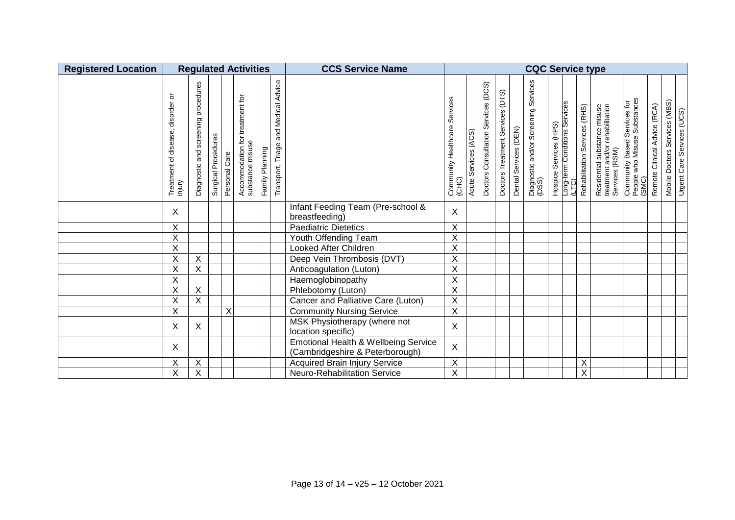| <b>Registered Location</b> | <b>Regulated Activities</b>                          |                                              |                     |               |                                                     |                 |                                         | <b>CCS Service Name</b>                                                 | <b>CQC Service type</b>                   |                            |                                        |                                     |                       |                                               |                        |                                        |                               |                                                                                   |                                                                       |                              |                                                             |  |
|----------------------------|------------------------------------------------------|----------------------------------------------|---------------------|---------------|-----------------------------------------------------|-----------------|-----------------------------------------|-------------------------------------------------------------------------|-------------------------------------------|----------------------------|----------------------------------------|-------------------------------------|-----------------------|-----------------------------------------------|------------------------|----------------------------------------|-------------------------------|-----------------------------------------------------------------------------------|-----------------------------------------------------------------------|------------------------------|-------------------------------------------------------------|--|
|                            | ৯<br>disorder<br>disease,<br>৳<br>Treatment<br>mjury | procedures<br>screening<br>and<br>Diagnostic | Surgical Procedures | Personal Care | Accommodation for treatment for<br>substance misuse | Family Planning | and Medical Advice<br>Transport, Triage |                                                                         | Services<br>Community Healthcare<br>(CHC) | (ACS)<br>Services<br>Acute | Services (DCS)<br>Doctors Consultation | (DTS)<br>Doctors Treatment Services | Dental Services (DEN) | Diagnostic and/or Screening Services<br>(DSS) | Hospice Services (HPS) | Long-term Conditions Services<br>(LTC) | Rehabilitation Services (RHS) | Residential substance misuse<br>treatment and/or rehabilitation<br>Services (RSM) | Community Based Services for<br>People who Misuse Substances<br>(SMC) | Remote Clinical Advice (RCA) | Mobile Doctors Services (MBS)<br>Urgent Care Services (UCS) |  |
|                            | X                                                    |                                              |                     |               |                                                     |                 |                                         | Infant Feeding Team (Pre-school &<br>breastfeeding)                     | X                                         |                            |                                        |                                     |                       |                                               |                        |                                        |                               |                                                                                   |                                                                       |                              |                                                             |  |
|                            | X                                                    |                                              |                     |               |                                                     |                 |                                         | <b>Paediatric Dietetics</b>                                             | $\pmb{\times}$                            |                            |                                        |                                     |                       |                                               |                        |                                        |                               |                                                                                   |                                                                       |                              |                                                             |  |
|                            | X                                                    |                                              |                     |               |                                                     |                 |                                         | Youth Offending Team                                                    | $\mathsf X$                               |                            |                                        |                                     |                       |                                               |                        |                                        |                               |                                                                                   |                                                                       |                              |                                                             |  |
|                            | X                                                    |                                              |                     |               |                                                     |                 |                                         | Looked After Children                                                   | $\sf X$                                   |                            |                                        |                                     |                       |                                               |                        |                                        |                               |                                                                                   |                                                                       |                              |                                                             |  |
|                            | Χ                                                    | $\sf X$                                      |                     |               |                                                     |                 |                                         | Deep Vein Thrombosis (DVT)                                              | $\sf X$                                   |                            |                                        |                                     |                       |                                               |                        |                                        |                               |                                                                                   |                                                                       |                              |                                                             |  |
|                            | X                                                    | X                                            |                     |               |                                                     |                 |                                         | Anticoagulation (Luton)                                                 | $\sf X$                                   |                            |                                        |                                     |                       |                                               |                        |                                        |                               |                                                                                   |                                                                       |                              |                                                             |  |
|                            | X                                                    |                                              |                     |               |                                                     |                 |                                         | Haemoglobinopathy                                                       | $\sf X$                                   |                            |                                        |                                     |                       |                                               |                        |                                        |                               |                                                                                   |                                                                       |                              |                                                             |  |
|                            | $\overline{\mathsf{x}}$                              | $\overline{X}$                               |                     |               |                                                     |                 |                                         | Phlebotomy (Luton)                                                      | $\overline{X}$                            |                            |                                        |                                     |                       |                                               |                        |                                        |                               |                                                                                   |                                                                       |                              |                                                             |  |
|                            | X                                                    | X                                            |                     |               |                                                     |                 |                                         | Cancer and Palliative Care (Luton)                                      | X                                         |                            |                                        |                                     |                       |                                               |                        |                                        |                               |                                                                                   |                                                                       |                              |                                                             |  |
|                            | X                                                    |                                              |                     | X             |                                                     |                 |                                         | <b>Community Nursing Service</b>                                        | $\mathsf X$                               |                            |                                        |                                     |                       |                                               |                        |                                        |                               |                                                                                   |                                                                       |                              |                                                             |  |
|                            | X                                                    | X                                            |                     |               |                                                     |                 |                                         | MSK Physiotherapy (where not<br>location specific)                      | X                                         |                            |                                        |                                     |                       |                                               |                        |                                        |                               |                                                                                   |                                                                       |                              |                                                             |  |
|                            | X                                                    |                                              |                     |               |                                                     |                 |                                         | Emotional Health & Wellbeing Service<br>(Cambridgeshire & Peterborough) | $\mathsf X$                               |                            |                                        |                                     |                       |                                               |                        |                                        |                               |                                                                                   |                                                                       |                              |                                                             |  |
|                            | X                                                    | $\overline{\mathsf{x}}$                      |                     |               |                                                     |                 |                                         | <b>Acquired Brain Injury Service</b>                                    | $\overline{X}$                            |                            |                                        |                                     |                       |                                               |                        |                                        | $\overline{X}$                |                                                                                   |                                                                       |                              |                                                             |  |
|                            | X                                                    | $\overline{\mathsf{x}}$                      |                     |               |                                                     |                 |                                         | Neuro-Rehabilitation Service                                            | $\overline{X}$                            |                            |                                        |                                     |                       |                                               |                        |                                        | $\overline{\mathsf{x}}$       |                                                                                   |                                                                       |                              |                                                             |  |